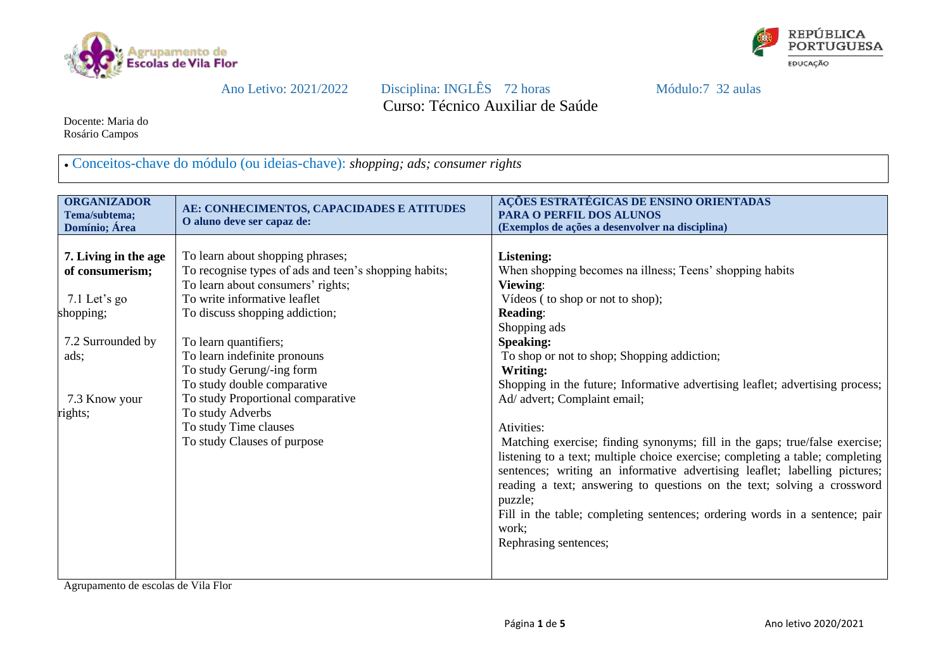



Ano Letivo: 2021/2022 Disciplina: INGLÊS 72 horas Módulo:7 32 aulas Curso: Técnico Auxiliar de Saúde

Docente: Maria do Rosário Campos

Conceitos-chave do módulo (ou ideias-chave): *shopping; ads; consumer rights*

| <b>ORGANIZADOR</b>   | AE: CONHECIMENTOS, CAPACIDADES E ATITUDES             | AÇÕES ESTRATÉGICAS DE ENSINO ORIENTADAS                                       |
|----------------------|-------------------------------------------------------|-------------------------------------------------------------------------------|
| Tema/subtema;        | O aluno deve ser capaz de:                            | <b>PARA O PERFIL DOS ALUNOS</b>                                               |
| Domínio; Área        |                                                       | (Exemplos de ações a desenvolver na disciplina)                               |
|                      |                                                       |                                                                               |
| 7. Living in the age | To learn about shopping phrases;                      | Listening:                                                                    |
| of consumerism;      | To recognise types of ads and teen's shopping habits; | When shopping becomes na illness; Teens' shopping habits                      |
|                      | To learn about consumers' rights;                     | Viewing:                                                                      |
| 7.1 Let's go         | To write informative leaflet                          | Vídeos (to shop or not to shop);                                              |
| shopping;            | To discuss shopping addiction;                        | <b>Reading:</b>                                                               |
|                      |                                                       | Shopping ads                                                                  |
| 7.2 Surrounded by    | To learn quantifiers;                                 | <b>Speaking:</b>                                                              |
| ads;                 | To learn indefinite pronouns                          | To shop or not to shop; Shopping addiction;                                   |
|                      | To study Gerung/-ing form                             | Writing:                                                                      |
|                      | To study double comparative                           | Shopping in the future; Informative advertising leaflet; advertising process; |
| 7.3 Know your        | To study Proportional comparative                     | Ad/ advert; Complaint email;                                                  |
| rights;              | To study Adverbs                                      |                                                                               |
|                      | To study Time clauses                                 | Ativities:                                                                    |
|                      | To study Clauses of purpose                           | Matching exercise; finding synonyms; fill in the gaps; true/false exercise;   |
|                      |                                                       | listening to a text; multiple choice exercise; completing a table; completing |
|                      |                                                       | sentences; writing an informative advertising leaflet; labelling pictures;    |
|                      |                                                       | reading a text; answering to questions on the text; solving a crossword       |
|                      |                                                       | puzzle;                                                                       |
|                      |                                                       | Fill in the table; completing sentences; ordering words in a sentence; pair   |
|                      |                                                       | work;                                                                         |
|                      |                                                       | Rephrasing sentences;                                                         |
|                      |                                                       |                                                                               |
|                      |                                                       |                                                                               |
|                      |                                                       |                                                                               |

Agrupamento de escolas de Vila Flor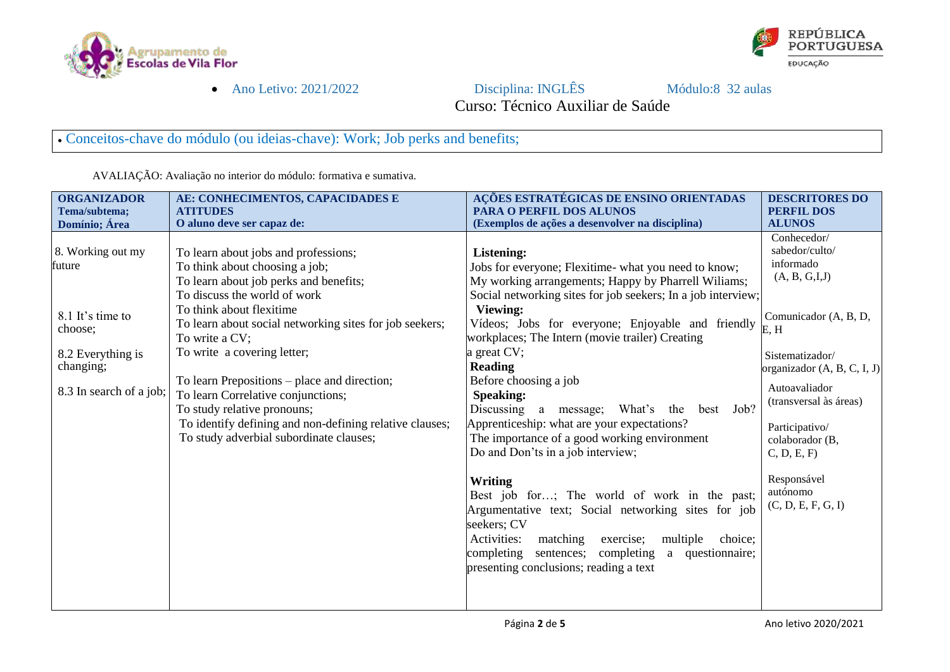



Ano Letivo: 2021/2022 Disciplina: INGLÊS Módulo:8 32 aulas

Curso: Técnico Auxiliar de Saúde

Conceitos-chave do módulo (ou ideias-chave): Work; Job perks and benefits;

| <b>ORGANIZADOR</b>      | AE: CONHECIMENTOS, CAPACIDADES E                        | AÇÕES ESTRATÉGICAS DE ENSINO ORIENTADAS                      | <b>DESCRITORES DO</b>             |  |  |
|-------------------------|---------------------------------------------------------|--------------------------------------------------------------|-----------------------------------|--|--|
| Tema/subtema;           | <b>ATITUDES</b>                                         | <b>PARA O PERFIL DOS ALUNOS</b>                              | <b>PERFIL DOS</b>                 |  |  |
| Domínio; Área           | O aluno deve ser capaz de:                              | (Exemplos de ações a desenvolver na disciplina)              | <b>ALUNOS</b>                     |  |  |
|                         |                                                         |                                                              | Conhecedor/                       |  |  |
| 8. Working out my       | To learn about jobs and professions;                    | <b>Listening:</b>                                            | sabedor/culto/                    |  |  |
| future                  | To think about choosing a job;                          | Jobs for everyone; Flexitime- what you need to know;         | informado                         |  |  |
|                         | To learn about job perks and benefits;                  | My working arrangements; Happy by Pharrell Wiliams;          | (A, B, G, I, J)                   |  |  |
|                         | To discuss the world of work                            | Social networking sites for job seekers; In a job interview; |                                   |  |  |
|                         | To think about flexitime                                | <b>Viewing:</b>                                              |                                   |  |  |
| 8.1 It's time to        | To learn about social networking sites for job seekers; | Vídeos; Jobs for everyone; Enjoyable and friendly            | Comunicador (A, B, D,             |  |  |
| choose;                 | To write a CV;                                          | workplaces; The Intern (movie trailer) Creating              | E, H                              |  |  |
| 8.2 Everything is       | To write a covering letter;                             | a great CV;                                                  | Sistematizador/                   |  |  |
| changing;               |                                                         | <b>Reading</b>                                               | organizador (A, B, C, I, J)       |  |  |
|                         | To learn Prepositions – place and direction;            | Before choosing a job                                        |                                   |  |  |
| 8.3 In search of a job; | To learn Correlative conjunctions;                      | <b>Speaking:</b>                                             | Autoavaliador                     |  |  |
|                         | To study relative pronouns;                             | Job?<br>Discussing a message; What's<br>the<br>best          | (transversal às áreas)            |  |  |
|                         | To identify defining and non-defining relative clauses; | Apprenticeship: what are your expectations?                  |                                   |  |  |
|                         | To study adverbial subordinate clauses;                 | The importance of a good working environment                 | Participativo/<br>colaborador (B, |  |  |
|                         |                                                         | Do and Don'ts in a job interview;                            | C, D, E, F                        |  |  |
|                         |                                                         |                                                              |                                   |  |  |
|                         |                                                         | Writing                                                      | Responsável                       |  |  |
|                         |                                                         | Best job for; The world of work in the past;                 | autónomo                          |  |  |
|                         |                                                         | Argumentative text; Social networking sites for job          | (C, D, E, F, G, I)                |  |  |
|                         |                                                         | seekers; CV                                                  |                                   |  |  |
|                         |                                                         |                                                              |                                   |  |  |
|                         |                                                         | Activities:<br>matching<br>exercise;<br>multiple choice;     |                                   |  |  |
|                         |                                                         | completing<br>sentences; completing a<br>questionnaire;      |                                   |  |  |
|                         |                                                         | presenting conclusions; reading a text                       |                                   |  |  |
|                         |                                                         |                                                              |                                   |  |  |
|                         |                                                         |                                                              |                                   |  |  |

AVALIAÇÃO: Avaliação no interior do módulo: formativa e sumativa.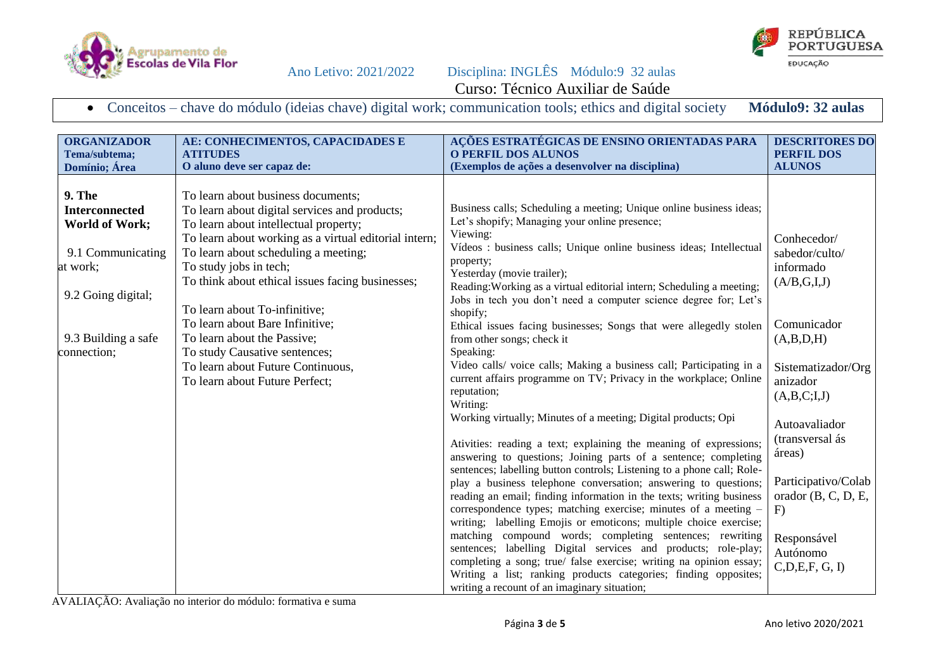





Conceitos – chave do módulo (ideias chave) digital work; communication tools; ethics and digital society **Módulo9: 32 aulas**

| <b>ORGANIZADOR</b>                                                                                                                                           | AE: CONHECIMENTOS, CAPACIDADES E                                                                                                                                                                                                                                                                                                                                                                                                                                                                                       | AÇÕES ESTRATÉGICAS DE ENSINO ORIENTADAS PARA                                                                                                                                                                                                                                                                                                                                                                                                                                                                                                                                                                                                                                                                                                                                                                                                                                                                                                                                                                                                                                                                                                                                                                                                                                                                                                                                                                                                                                                                                                       | <b>DESCRITORES DO</b>                                                                                                                                                                                                                                                                     |
|--------------------------------------------------------------------------------------------------------------------------------------------------------------|------------------------------------------------------------------------------------------------------------------------------------------------------------------------------------------------------------------------------------------------------------------------------------------------------------------------------------------------------------------------------------------------------------------------------------------------------------------------------------------------------------------------|----------------------------------------------------------------------------------------------------------------------------------------------------------------------------------------------------------------------------------------------------------------------------------------------------------------------------------------------------------------------------------------------------------------------------------------------------------------------------------------------------------------------------------------------------------------------------------------------------------------------------------------------------------------------------------------------------------------------------------------------------------------------------------------------------------------------------------------------------------------------------------------------------------------------------------------------------------------------------------------------------------------------------------------------------------------------------------------------------------------------------------------------------------------------------------------------------------------------------------------------------------------------------------------------------------------------------------------------------------------------------------------------------------------------------------------------------------------------------------------------------------------------------------------------------|-------------------------------------------------------------------------------------------------------------------------------------------------------------------------------------------------------------------------------------------------------------------------------------------|
| Tema/subtema;                                                                                                                                                | <b>ATITUDES</b>                                                                                                                                                                                                                                                                                                                                                                                                                                                                                                        | <b>O PERFIL DOS ALUNOS</b>                                                                                                                                                                                                                                                                                                                                                                                                                                                                                                                                                                                                                                                                                                                                                                                                                                                                                                                                                                                                                                                                                                                                                                                                                                                                                                                                                                                                                                                                                                                         | <b>PERFIL DOS</b>                                                                                                                                                                                                                                                                         |
| Domínio; Área                                                                                                                                                | O aluno deve ser capaz de:                                                                                                                                                                                                                                                                                                                                                                                                                                                                                             | (Exemplos de ações a desenvolver na disciplina)                                                                                                                                                                                                                                                                                                                                                                                                                                                                                                                                                                                                                                                                                                                                                                                                                                                                                                                                                                                                                                                                                                                                                                                                                                                                                                                                                                                                                                                                                                    | <b>ALUNOS</b>                                                                                                                                                                                                                                                                             |
| <b>9. The</b><br><b>Interconnected</b><br><b>World of Work;</b><br>9.1 Communicating<br>at work;<br>9.2 Going digital;<br>9.3 Building a safe<br>connection; | To learn about business documents;<br>To learn about digital services and products;<br>To learn about intellectual property;<br>To learn about working as a virtual editorial intern;<br>To learn about scheduling a meeting;<br>To study jobs in tech;<br>To think about ethical issues facing businesses;<br>To learn about To-infinitive;<br>To learn about Bare Infinitive;<br>To learn about the Passive;<br>To study Causative sentences;<br>To learn about Future Continuous,<br>To learn about Future Perfect; | Business calls; Scheduling a meeting; Unique online business ideas;<br>Let's shopify; Managing your online presence;<br>Viewing:<br>Vídeos : business calls; Unique online business ideas; Intellectual<br>property;<br>Yesterday (movie trailer);<br>Reading: Working as a virtual editorial intern; Scheduling a meeting;<br>Jobs in tech you don't need a computer science degree for; Let's<br>shopify;<br>Ethical issues facing businesses; Songs that were allegedly stolen<br>from other songs; check it<br>Speaking:<br>Video calls/ voice calls; Making a business call; Participating in a<br>current affairs programme on TV; Privacy in the workplace; Online<br>reputation;<br>Writing:<br>Working virtually; Minutes of a meeting; Digital products; Opi<br>Ativities: reading a text; explaining the meaning of expressions;<br>answering to questions; Joining parts of a sentence; completing<br>sentences; labelling button controls; Listening to a phone call; Role-<br>play a business telephone conversation; answering to questions;<br>reading an email; finding information in the texts; writing business<br>correspondence types; matching exercise; minutes of a meeting -<br>writing; labelling Emojis or emoticons; multiple choice exercise;<br>matching compound words; completing sentences; rewriting<br>sentences; labelling Digital services and products; role-play;<br>completing a song; true/ false exercise; writing na opinion essay;<br>Writing a list; ranking products categories; finding opposites; | Conhecedor/<br>sabedor/culto/<br>informado<br>(A/B,G,I,J)<br>Comunicador<br>(A,B,D,H)<br>Sistematizador/Org<br>anizador<br>(A,B,C;I,J)<br>Autoavaliador<br>(transversal ás<br>áreas)<br>Participativo/Colab<br>orador $(B, C, D, E,$<br>F)<br>Responsável<br>Autónomo<br>C, D, E, F, G, I |

AVALIAÇÃO: Avaliação no interior do módulo: formativa e suma